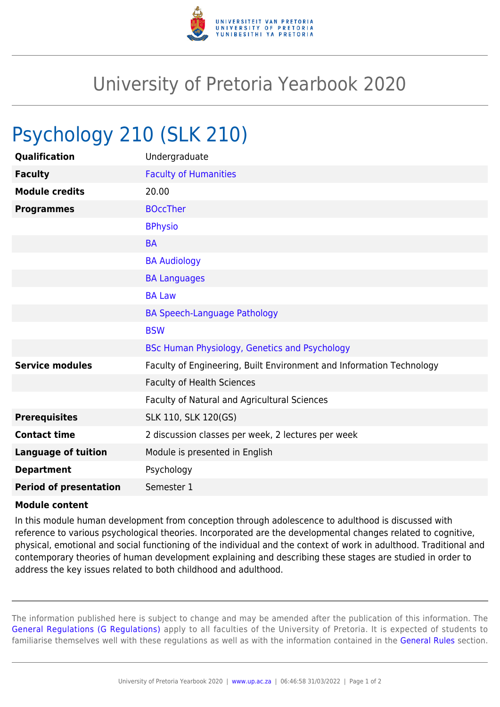

## University of Pretoria Yearbook 2020

## Psychology 210 (SLK 210)

| Qualification                 | Undergraduate                                                        |
|-------------------------------|----------------------------------------------------------------------|
| <b>Faculty</b>                | <b>Faculty of Humanities</b>                                         |
| <b>Module credits</b>         | 20.00                                                                |
| <b>Programmes</b>             | <b>BOccTher</b>                                                      |
|                               | <b>BPhysio</b>                                                       |
|                               | <b>BA</b>                                                            |
|                               | <b>BA Audiology</b>                                                  |
|                               | <b>BA Languages</b>                                                  |
|                               | <b>BA Law</b>                                                        |
|                               | <b>BA Speech-Language Pathology</b>                                  |
|                               | <b>BSW</b>                                                           |
|                               | BSc Human Physiology, Genetics and Psychology                        |
| <b>Service modules</b>        | Faculty of Engineering, Built Environment and Information Technology |
|                               | <b>Faculty of Health Sciences</b>                                    |
|                               | Faculty of Natural and Agricultural Sciences                         |
| <b>Prerequisites</b>          | SLK 110, SLK 120(GS)                                                 |
| <b>Contact time</b>           | 2 discussion classes per week, 2 lectures per week                   |
| <b>Language of tuition</b>    | Module is presented in English                                       |
| <b>Department</b>             | Psychology                                                           |
| <b>Period of presentation</b> | Semester 1                                                           |

## **Module content**

In this module human development from conception through adolescence to adulthood is discussed with reference to various psychological theories. Incorporated are the developmental changes related to cognitive, physical, emotional and social functioning of the individual and the context of work in adulthood. Traditional and contemporary theories of human development explaining and describing these stages are studied in order to address the key issues related to both childhood and adulthood.

The information published here is subject to change and may be amended after the publication of this information. The [General Regulations \(G Regulations\)](https://www.up.ac.za/yearbooks/2020/rules/view/REG) apply to all faculties of the University of Pretoria. It is expected of students to familiarise themselves well with these regulations as well as with the information contained in the [General Rules](https://www.up.ac.za/yearbooks/2020/rules/view/RUL) section.